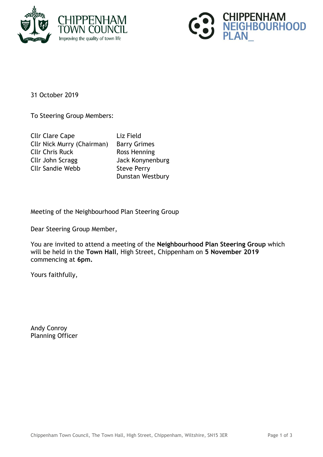



31 October 2019

To Steering Group Members:

Cllr Clare Cape Liz Field Cllr Nick Murry (Chairman) Barry Grimes Cllr Chris Ruck Ross Henning Cllr John Scragg Jack Konynenburg Cllr Sandie Webb Steve Perry

Dunstan Westbury

Meeting of the Neighbourhood Plan Steering Group

Dear Steering Group Member,

You are invited to attend a meeting of the **Neighbourhood Plan Steering Group** which will be held in the **Town Hall**, High Street, Chippenham on **5 November 2019** commencing at **6pm.**

Yours faithfully,

Andy Conroy Planning Officer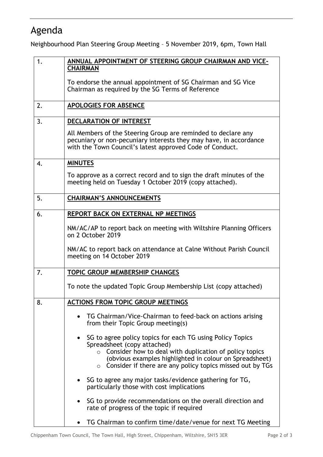## Agenda

Neighbourhood Plan Steering Group Meeting – 5 November 2019, 6pm, Town Hall

| 1. | ANNUAL APPOINTMENT OF STEERING GROUP CHAIRMAN AND VICE-                                                                                                                                                                                                                                       |
|----|-----------------------------------------------------------------------------------------------------------------------------------------------------------------------------------------------------------------------------------------------------------------------------------------------|
|    | <b>CHAIRMAN</b>                                                                                                                                                                                                                                                                               |
|    | To endorse the annual appointment of SG Chairman and SG Vice<br>Chairman as required by the SG Terms of Reference                                                                                                                                                                             |
| 2. | <b>APOLOGIES FOR ABSENCE</b>                                                                                                                                                                                                                                                                  |
| 3. | <b>DECLARATION OF INTEREST</b>                                                                                                                                                                                                                                                                |
|    | All Members of the Steering Group are reminded to declare any<br>pecuniary or non-pecuniary interests they may have, in accordance<br>with the Town Council's latest approved Code of Conduct.                                                                                                |
| 4. | <b>MINUTES</b>                                                                                                                                                                                                                                                                                |
|    | To approve as a correct record and to sign the draft minutes of the<br>meeting held on Tuesday 1 October 2019 (copy attached).                                                                                                                                                                |
| 5. | <b>CHAIRMAN'S ANNOUNCEMENTS</b>                                                                                                                                                                                                                                                               |
| 6. | REPORT BACK ON EXTERNAL NP MEETINGS                                                                                                                                                                                                                                                           |
|    | NM/AC/AP to report back on meeting with Wiltshire Planning Officers<br>on 2 October 2019                                                                                                                                                                                                      |
|    | NM/AC to report back on attendance at Calne Without Parish Council<br>meeting on 14 October 2019                                                                                                                                                                                              |
| 7. | TOPIC GROUP MEMBERSHIP CHANGES                                                                                                                                                                                                                                                                |
|    | To note the updated Topic Group Membership List (copy attached)                                                                                                                                                                                                                               |
| 8. | <b>ACTIONS FROM TOPIC GROUP MEETINGS</b>                                                                                                                                                                                                                                                      |
|    | TG Chairman/Vice-Chairman to feed-back on actions arising<br>from their Topic Group meeting(s)                                                                                                                                                                                                |
|    | SG to agree policy topics for each TG using Policy Topics<br>Spreadsheet (copy attached)<br>Consider how to deal with duplication of policy topics<br>$\circ$<br>(obvious examples highlighted in colour on Spreadsheet)<br>$\circ$ Consider if there are any policy topics missed out by TGs |
|    | SG to agree any major tasks/evidence gathering for TG,<br>particularly those with cost implications                                                                                                                                                                                           |
|    | SG to provide recommendations on the overall direction and<br>rate of progress of the topic if required                                                                                                                                                                                       |
|    | TG Chairman to confirm time/date/venue for next TG Meeting                                                                                                                                                                                                                                    |